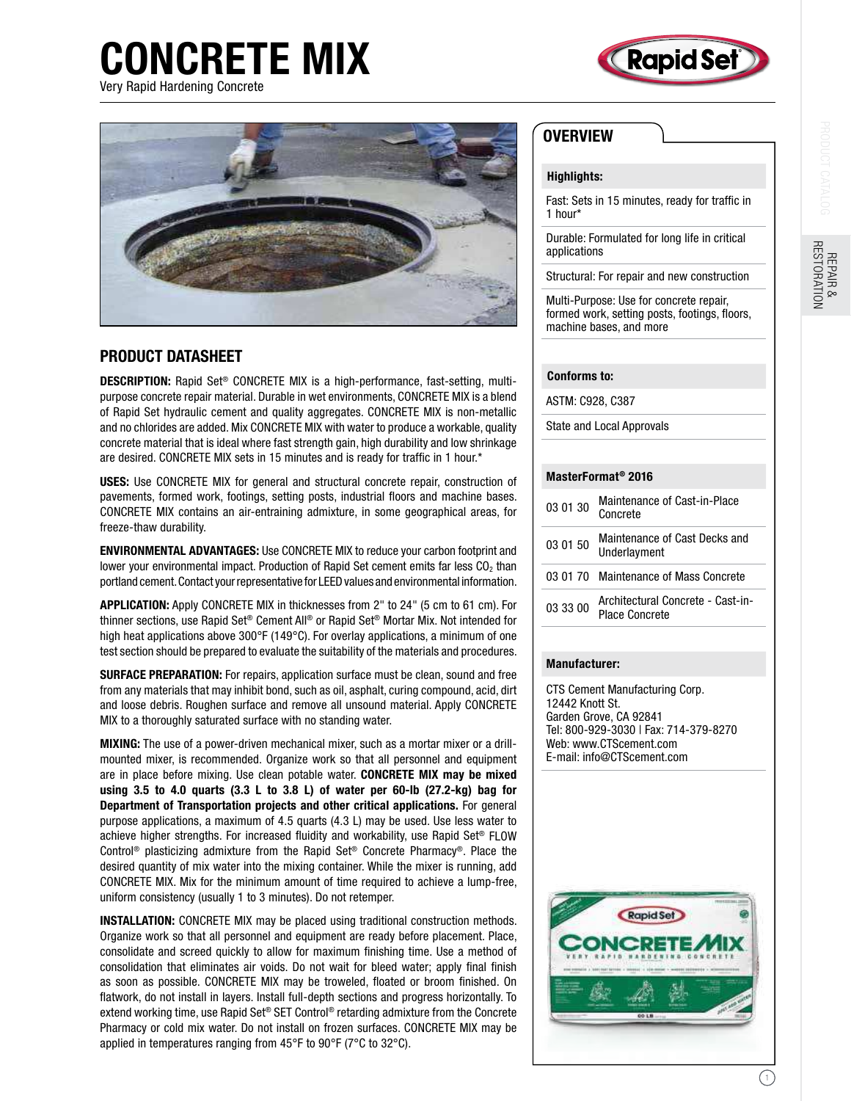# CONCRETE MIX Very Rapid Hardening Concrete







## PRODUCT DATASHEET

DESCRIPTION: Rapid Set® CONCRETE MIX is a high-performance, fast-setting, multipurpose concrete repair material. Durable in wet environments, CONCRETE MIX is a blend of Rapid Set hydraulic cement and quality aggregates. CONCRETE MIX is non-metallic and no chlorides are added. Mix CONCRETE MIX with water to produce a workable, quality concrete material that is ideal where fast strength gain, high durability and low shrinkage are desired. CONCRETE MIX sets in 15 minutes and is ready for trafic in 1 hour.\*

USES: Use CONCRETE MIX for general and structural concrete repair, construction of pavements, formed work, footings, setting posts, industrial floors and machine bases. CONCRETE MIX contains an air-entraining admixture, in some geographical areas, for freeze-thaw durability.

ENVIRONMENTAL ADVANTAGES: Use CONCRETE MIX to reduce your carbon footprint and lower your environmental impact. Production of Rapid Set cement emits far less  $CO<sub>2</sub>$  than portland cement. Contact your representative for LEED values and environmental information.

APPLICATION: Apply CONCRETE MIX in thicknesses from 2" to 24" (5 cm to 61 cm). For thinner sections, use Rapid Set® Cement All® or Rapid Set® Mortar Mix. Not intended for high heat applications above 300°F (149°C). For overlay applications, a minimum of one test section should be prepared to evaluate the suitability of the materials and procedures.

SURFACE PREPARATION: For repairs, application surface must be clean, sound and free from any materials that may inhibit bond, such as oil, asphalt, curing compound, acid, dirt and loose debris. Roughen surface and remove all unsound material. Apply CONCRETE MIX to a thoroughly saturated surface with no standing water.

MIXING: The use of a power-driven mechanical mixer, such as a mortar mixer or a drillmounted mixer, is recommended. Organize work so that all personnel and equipment are in place before mixing. Use clean potable water. CONCRETE MIX may be mixed using 3.5 to 4.0 quarts (3.3 L to 3.8 L) of water per 60-lb (27.2-kg) bag for Department of Transportation projects and other critical applications. For general purpose applications, a maximum of 4.5 quarts (4.3 L) may be used. Use less water to achieve higher strengths. For increased fluidity and workability, use Rapid Set<sup>®</sup> FLOW Control® plasticizing admixture from the Rapid Set® Concrete Pharmacy®. Place the desired quantity of mix water into the mixing container. While the mixer is running, add CONCRETE MIX. Mix for the minimum amount of time required to achieve a lump-free, uniform consistency (usually 1 to 3 minutes). Do not retemper.

INSTALLATION: CONCRETE MIX may be placed using traditional construction methods. Organize work so that all personnel and equipment are ready before placement. Place, consolidate and screed quickly to allow for maximum finishing time. Use a method of consolidation that eliminates air voids. Do not wait for bleed water; apply final finish as soon as possible. CONCRETE MIX may be troweled, floated or broom finished. On flatwork, do not install in layers. Install full-depth sections and progress horizontally. To extend working time, use Rapid Set® SET Control® retarding admixture from the Concrete Pharmacy or cold mix water. Do not install on frozen surfaces. CONCRETE MIX may be applied in temperatures ranging from 45°F to 90°F (7°C to 32°C).

### **OVERVIEW**

#### Highlights:

Fast: Sets in 15 minutes, ready for trafic in 1 hour\*

Durable: Formulated for long life in critical applications

Structural: For repair and new construction

Multi-Purpose: Use for concrete repair, formed work, setting posts, footings, floors, machine bases, and more

#### Conforms to:

ASTM: C928, C387

State and Local Approvals

#### MasterFormat® 2016

| 03 01 30 | Maintenance of Cast-in-Place<br>Concrete            |
|----------|-----------------------------------------------------|
| 03 01 50 | Maintenance of Cast Decks and<br>Underlayment       |
|          | 03.01.70 Maintenance of Mass Concrete               |
| 03 33 00 | Architectural Concrete - Cast-in-<br>Place Concrete |

#### Manufacturer:

CTS Cement Manufacturing Corp. 12442 Knott St. Garden Grove, CA 92841 Tel: 800-929-3030 | Fax: 714-379-8270 Web: www.CTScement.com E-mail: info@CTScement.com



1